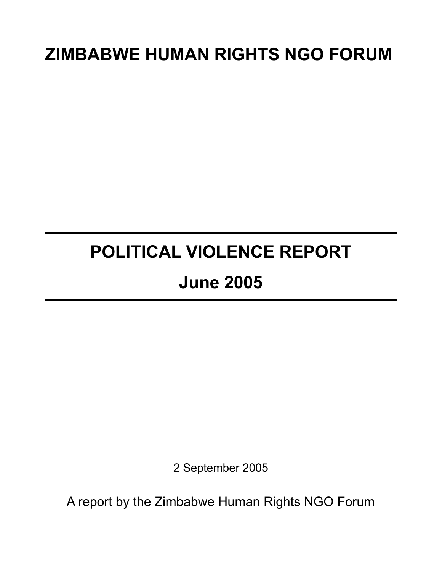# **ZIMBABWE HUMAN RIGHTS NGO FORUM**

# **POLITICAL VIOLENCE REPORT June 2005**

2 September 2005

A report by the Zimbabwe Human Rights NGO Forum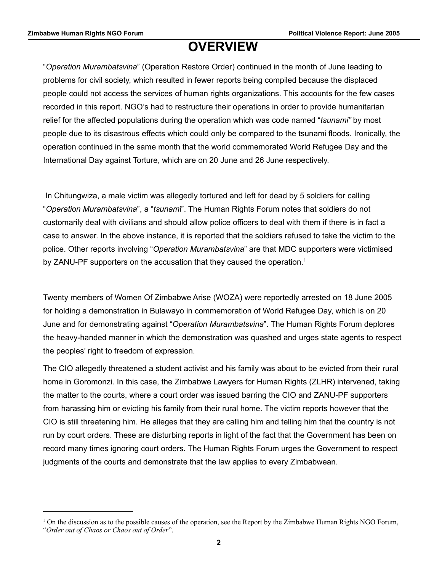## **OVERVIEW**

"*Operation Murambatsvina*" (Operation Restore Order) continued in the month of June leading to problems for civil society, which resulted in fewer reports being compiled because the displaced people could not access the services of human rights organizations. This accounts for the few cases recorded in this report. NGO's had to restructure their operations in order to provide humanitarian relief for the affected populations during the operation which was code named "*tsunami"* by most people due to its disastrous effects which could only be compared to the tsunami floods. Ironically, the operation continued in the same month that the world commemorated World Refugee Day and the International Day against Torture, which are on 20 June and 26 June respectively.

 In Chitungwiza, a male victim was allegedly tortured and left for dead by 5 soldiers for calling "*Operation Murambatsvina*", a "*tsunam*i". The Human Rights Forum notes that soldiers do not customarily deal with civilians and should allow police officers to deal with them if there is in fact a case to answer. In the above instance, it is reported that the soldiers refused to take the victim to the police. Other reports involving "*Operation Murambatsvina*" are that MDC supporters were victimised by ZANU-PF supporters on the accusation that they caused the operation.<sup>[1](#page-1-0)</sup>

Twenty members of Women Of Zimbabwe Arise (WOZA) were reportedly arrested on 18 June 2005 for holding a demonstration in Bulawayo in commemoration of World Refugee Day, which is on 20 June and for demonstrating against "*Operation Murambatsvina*". The Human Rights Forum deplores the heavy-handed manner in which the demonstration was quashed and urges state agents to respect the peoples' right to freedom of expression.

The CIO allegedly threatened a student activist and his family was about to be evicted from their rural home in Goromonzi. In this case, the Zimbabwe Lawyers for Human Rights (ZLHR) intervened, taking the matter to the courts, where a court order was issued barring the CIO and ZANU-PF supporters from harassing him or evicting his family from their rural home. The victim reports however that the CIO is still threatening him. He alleges that they are calling him and telling him that the country is not run by court orders. These are disturbing reports in light of the fact that the Government has been on record many times ignoring court orders. The Human Rights Forum urges the Government to respect judgments of the courts and demonstrate that the law applies to every Zimbabwean.

<span id="page-1-0"></span> $1$  On the discussion as to the possible causes of the operation, see the Report by the Zimbabwe Human Rights NGO Forum, "*Order out of Chaos or Chaos out of Order*".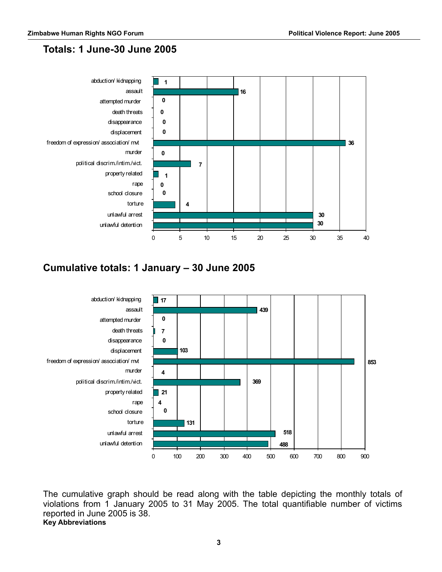### **Totals: 1 June-30 June 2005**



## **Cumulative totals: 1 January – 30 June 2005**



The cumulative graph should be read along with the table depicting the monthly totals of violations from 1 January 2005 to 31 May 2005. The total quantifiable number of victims reported in June 2005 is 38. **Key Abbreviations**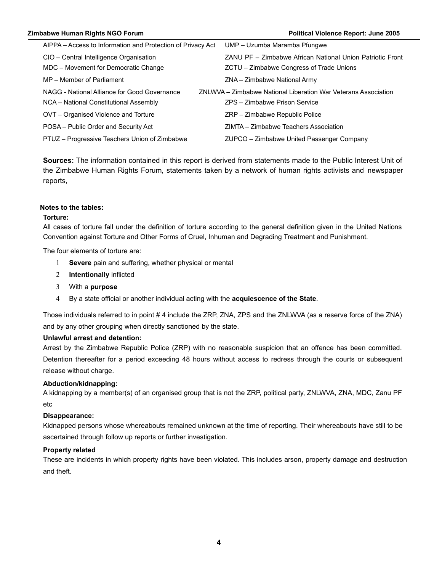#### **Zimbabwe Human Rights NGO Forum Political Violence Report: June 2005**

| AIPPA – Access to Information and Protection of Privacy Act                            | UMP - Uzumba Maramba Pfungwe                                                                          |
|----------------------------------------------------------------------------------------|-------------------------------------------------------------------------------------------------------|
| CIO - Central Intelligence Organisation<br>MDC - Movement for Democratic Change        | ZANU PF - Zimbabwe African National Union Patriotic Front<br>ZCTU - Zimbabwe Congress of Trade Unions |
| MP - Member of Parliament                                                              | ZNA - Zimbabwe National Army                                                                          |
| NAGG - National Alliance for Good Governance<br>NCA - National Constitutional Assembly | ZNLWVA – Zimbabwe National Liberation War Veterans Association<br>ZPS - Zimbabwe Prison Service       |
| OVT - Organised Violence and Torture                                                   | ZRP - Zimbabwe Republic Police                                                                        |
| POSA - Public Order and Security Act                                                   | ZIMTA – Zimbabwe Teachers Association                                                                 |
| PTUZ - Progressive Teachers Union of Zimbabwe                                          | ZUPCO – Zimbabwe United Passenger Company                                                             |

**Sources:** The information contained in this report is derived from statements made to the Public Interest Unit of the Zimbabwe Human Rights Forum, statements taken by a network of human rights activists and newspaper reports,

#### **Notes to the tables:**

#### **Torture:**

All cases of torture fall under the definition of torture according to the general definition given in the United Nations Convention against Torture and Other Forms of Cruel, Inhuman and Degrading Treatment and Punishment.

The four elements of torture are:

- 1 **Severe** pain and suffering, whether physical or mental
- 2 **Intentionally** inflicted
- 3 With a **purpose**
- 4 By a state official or another individual acting with the **acquiescence of the State**.

Those individuals referred to in point # 4 include the ZRP, ZNA, ZPS and the ZNLWVA (as a reserve force of the ZNA) and by any other grouping when directly sanctioned by the state.

#### **Unlawful arrest and detention:**

Arrest by the Zimbabwe Republic Police (ZRP) with no reasonable suspicion that an offence has been committed. Detention thereafter for a period exceeding 48 hours without access to redress through the courts or subsequent release without charge.

#### **Abduction/kidnapping:**

A kidnapping by a member(s) of an organised group that is not the ZRP, political party, ZNLWVA, ZNA, MDC, Zanu PF etc

#### **Disappearance:**

Kidnapped persons whose whereabouts remained unknown at the time of reporting. Their whereabouts have still to be ascertained through follow up reports or further investigation.

#### **Property related**

These are incidents in which property rights have been violated. This includes arson, property damage and destruction and theft.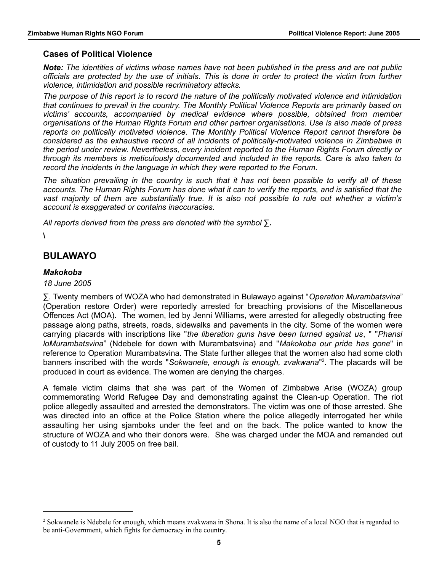#### **Cases of Political Violence**

*Note: The identities of victims whose names have not been published in the press and are not public officials are protected by the use of initials. This is done in order to protect the victim from further violence, intimidation and possible recriminatory attacks.*

*The purpose of this report is to record the nature of the politically motivated violence and intimidation that continues to prevail in the country. The Monthly Political Violence Reports are primarily based on victims' accounts, accompanied by medical evidence where possible, obtained from member organisations of the Human Rights Forum and other partner organisations. Use is also made of press reports on politically motivated violence. The Monthly Political Violence Report cannot therefore be considered as the exhaustive record of all incidents of politically-motivated violence in Zimbabwe in the period under review. Nevertheless, every incident reported to the Human Rights Forum directly or through its members is meticulously documented and included in the reports. Care is also taken to record the incidents in the language in which they were reported to the Forum.*

*The situation prevailing in the country is such that it has not been possible to verify all of these accounts. The Human Rights Forum has done what it can to verify the reports, and is satisfied that the vast majority of them are substantially true. It is also not possible to rule out whether a victim's account is exaggerated or contains inaccuracies.*

*All reports derived from the press are denoted with the symbol* **∑***.*

**\**

#### **BULAWAYO**

#### *Makokoba*

*18 June 2005*

∑. Twenty members of WOZA who had demonstrated in Bulawayo against "*Operation Murambatsvina*" (Operation restore Order) were reportedly arrested for breaching provisions of the Miscellaneous Offences Act (MOA). The women, led by Jenni Williams, were arrested for allegedly obstructing free passage along paths, streets, roads, sidewalks and pavements in the city. Some of the women were carrying placards with inscriptions like "*the liberation guns have been turned against us*, " "*Phansi loMurambatsvina*" (Ndebele for down with Murambatsvina) and "*Makokoba our pride has gone*" in reference to Operation Murambatsvina. The State further alleges that the women also had some cloth banners inscribed with the words "*Sokwanele, enough is enough, zvakwana*" [2](#page-4-0) . The placards will be produced in court as evidence. The women are denying the charges.

A female victim claims that she was part of the Women of Zimbabwe Arise (WOZA) group commemorating World Refugee Day and demonstrating against the Clean-up Operation. The riot police allegedly assaulted and arrested the demonstrators. The victim was one of those arrested. She was directed into an office at the Police Station where the police allegedly interrogated her while assaulting her using sjamboks under the feet and on the back. The police wanted to know the structure of WOZA and who their donors were. She was charged under the MOA and remanded out of custody to 11 July 2005 on free bail.

<span id="page-4-0"></span><sup>&</sup>lt;sup>2</sup> Sokwanele is Ndebele for enough, which means zvakwana in Shona. It is also the name of a local NGO that is regarded to be anti-Government, which fights for democracy in the country.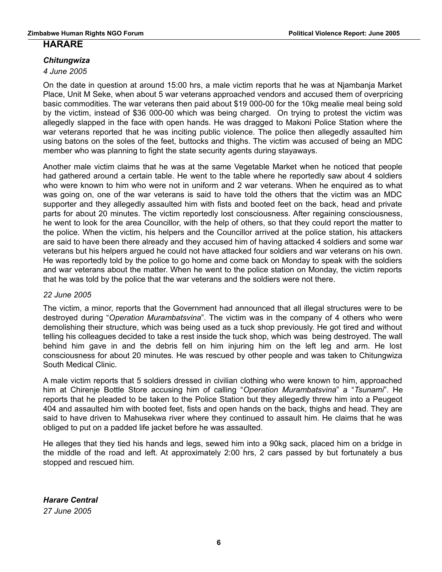#### **HARARE**

#### *Chitungwiza*

*4 June 2005*

On the date in question at around 15:00 hrs, a male victim reports that he was at Njambanja Market Place, Unit M Seke, when about 5 war veterans approached vendors and accused them of overpricing basic commodities. The war veterans then paid about \$19 000-00 for the 10kg mealie meal being sold by the victim, instead of \$36 000-00 which was being charged. On trying to protest the victim was allegedly slapped in the face with open hands. He was dragged to Makoni Police Station where the war veterans reported that he was inciting public violence. The police then allegedly assaulted him using batons on the soles of the feet, buttocks and thighs. The victim was accused of being an MDC member who was planning to fight the state security agents during stayaways.

Another male victim claims that he was at the same Vegetable Market when he noticed that people had gathered around a certain table. He went to the table where he reportedly saw about 4 soldiers who were known to him who were not in uniform and 2 war veterans. When he enquired as to what was going on, one of the war veterans is said to have told the others that the victim was an MDC supporter and they allegedly assaulted him with fists and booted feet on the back, head and private parts for about 20 minutes. The victim reportedly lost consciousness. After regaining consciousness, he went to look for the area Councillor, with the help of others, so that they could report the matter to the police. When the victim, his helpers and the Councillor arrived at the police station, his attackers are said to have been there already and they accused him of having attacked 4 soldiers and some war veterans but his helpers argued he could not have attacked four soldiers and war veterans on his own. He was reportedly told by the police to go home and come back on Monday to speak with the soldiers and war veterans about the matter. When he went to the police station on Monday, the victim reports that he was told by the police that the war veterans and the soldiers were not there.

#### *22 June 2005*

The victim, a minor, reports that the Government had announced that all illegal structures were to be destroyed during "*Operation Murambatsvina*". The victim was in the company of 4 others who were demolishing their structure, which was being used as a tuck shop previously. He got tired and without telling his colleagues decided to take a rest inside the tuck shop, which was being destroyed. The wall behind him gave in and the debris fell on him injuring him on the left leg and arm. He lost consciousness for about 20 minutes. He was rescued by other people and was taken to Chitungwiza South Medical Clinic.

A male victim reports that 5 soldiers dressed in civilian clothing who were known to him, approached him at Chirenje Bottle Store accusing him of calling "*Operation Murambatsvina*" a "*Tsunami*". He reports that he pleaded to be taken to the Police Station but they allegedly threw him into a Peugeot 404 and assaulted him with booted feet, fists and open hands on the back, thighs and head. They are said to have driven to Mahusekwa river where they continued to assault him. He claims that he was obliged to put on a padded life jacket before he was assaulted.

He alleges that they tied his hands and legs, sewed him into a 90kg sack, placed him on a bridge in the middle of the road and left. At approximately 2:00 hrs, 2 cars passed by but fortunately a bus stopped and rescued him.

*Harare Central 27 June 2005*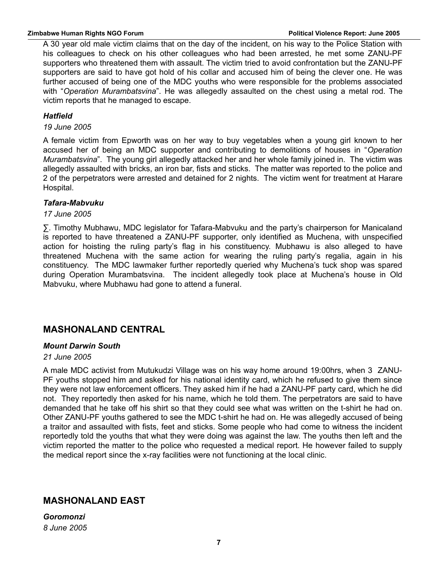A 30 year old male victim claims that on the day of the incident, on his way to the Police Station with his colleagues to check on his other colleagues who had been arrested, he met some ZANU-PF supporters who threatened them with assault. The victim tried to avoid confrontation but the ZANU-PF supporters are said to have got hold of his collar and accused him of being the clever one. He was further accused of being one of the MDC youths who were responsible for the problems associated with "*Operation Murambatsvina*". He was allegedly assaulted on the chest using a metal rod. The victim reports that he managed to escape.

#### *Hatfield*

*19 June 2005*

A female victim from Epworth was on her way to buy vegetables when a young girl known to her accused her of being an MDC supporter and contributing to demolitions of houses in "*Operation Murambatsvina*". The young girl allegedly attacked her and her whole family joined in. The victim was allegedly assaulted with bricks, an iron bar, fists and sticks. The matter was reported to the police and 2 of the perpetrators were arrested and detained for 2 nights. The victim went for treatment at Harare Hospital.

#### *Tafara-Mabvuku*

#### *17 June 2005*

∑. Timothy Mubhawu, MDC legislator for Tafara-Mabvuku and the party's chairperson for Manicaland is reported to have threatened a ZANU-PF supporter, only identified as Muchena, with unspecified action for hoisting the ruling party's flag in his constituency. Mubhawu is also alleged to have threatened Muchena with the same action for wearing the ruling party's regalia, again in his constituency. The MDC lawmaker further reportedly queried why Muchena's tuck shop was spared during Operation Murambatsvina. The incident allegedly took place at Muchena's house in Old Mabvuku, where Mubhawu had gone to attend a funeral.

#### **MASHONALAND CENTRAL**

#### *Mount Darwin South*

#### *21 June 2005*

A male MDC activist from Mutukudzi Village was on his way home around 19:00hrs, when 3 ZANU-PF youths stopped him and asked for his national identity card, which he refused to give them since they were not law enforcement officers. They asked him if he had a ZANU-PF party card, which he did not. They reportedly then asked for his name, which he told them. The perpetrators are said to have demanded that he take off his shirt so that they could see what was written on the t-shirt he had on. Other ZANU-PF youths gathered to see the MDC t-shirt he had on. He was allegedly accused of being a traitor and assaulted with fists, feet and sticks. Some people who had come to witness the incident reportedly told the youths that what they were doing was against the law. The youths then left and the victim reported the matter to the police who requested a medical report. He however failed to supply the medical report since the x-ray facilities were not functioning at the local clinic.

#### **MASHONALAND EAST**

*Goromonzi 8 June 2005*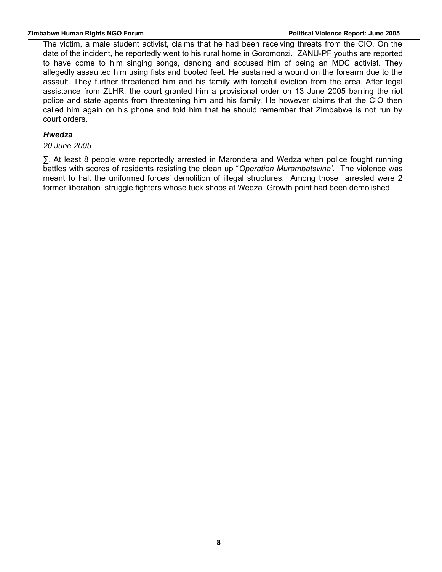The victim, a male student activist, claims that he had been receiving threats from the CIO. On the date of the incident, he reportedly went to his rural home in Goromonzi. ZANU-PF youths are reported to have come to him singing songs, dancing and accused him of being an MDC activist. They allegedly assaulted him using fists and booted feet. He sustained a wound on the forearm due to the assault. They further threatened him and his family with forceful eviction from the area. After legal assistance from ZLHR, the court granted him a provisional order on 13 June 2005 barring the riot police and state agents from threatening him and his family. He however claims that the CIO then called him again on his phone and told him that he should remember that Zimbabwe is not run by court orders.

#### *Hwedza*

#### *20 June 2005*

∑. At least 8 people were reportedly arrested in Marondera and Wedza when police fought running battles with scores of residents resisting the clean up "*Operation Murambatsvina'*. The violence was meant to halt the uniformed forces' demolition of illegal structures. Among those arrested were 2 former liberation struggle fighters whose tuck shops at Wedza Growth point had been demolished.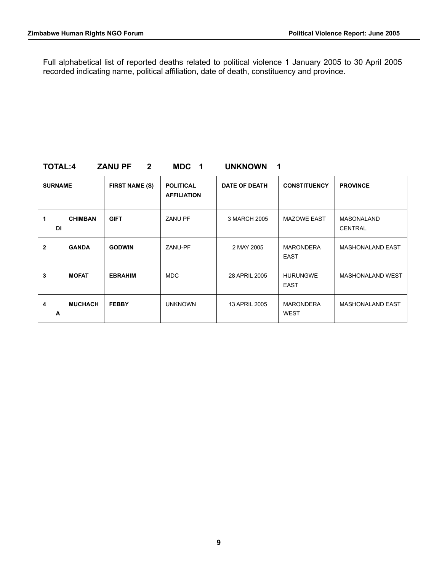Full alphabetical list of reported deaths related to political violence 1 January 2005 to 30 April 2005 recorded indicating name, political affiliation, date of death, constituency and province.

#### **TOTAL:4 ZANU PF 2 MDC 1 UNKNOWN 1**

| <b>SURNAME</b> |                | <b>FIRST NAME (S)</b> | <b>POLITICAL</b><br><b>AFFILIATION</b> | <b>DATE OF DEATH</b> | <b>CONSTITUENCY</b>             | <b>PROVINCE</b>              |  |
|----------------|----------------|-----------------------|----------------------------------------|----------------------|---------------------------------|------------------------------|--|
| 1<br><b>DI</b> | <b>CHIMBAN</b> | <b>GIFT</b>           | <b>ZANU PF</b>                         | 3 MARCH 2005         | <b>MAZOWE EAST</b>              | MASONALAND<br><b>CENTRAL</b> |  |
| 2              | <b>GANDA</b>   | <b>GODWIN</b>         | ZANU-PF                                | 2 MAY 2005           | <b>MARONDERA</b><br><b>EAST</b> | <b>MASHONALAND EAST</b>      |  |
| 3              | <b>MOFAT</b>   | <b>EBRAHIM</b>        | <b>MDC</b>                             | 28 APRIL 2005        | <b>HURUNGWE</b><br><b>EAST</b>  | <b>MASHONALAND WEST</b>      |  |
| 4<br>A         | <b>MUCHACH</b> | <b>FEBBY</b>          | <b>UNKNOWN</b>                         | 13 APRIL 2005        | <b>MARONDERA</b><br><b>WEST</b> | <b>MASHONALAND EAST</b>      |  |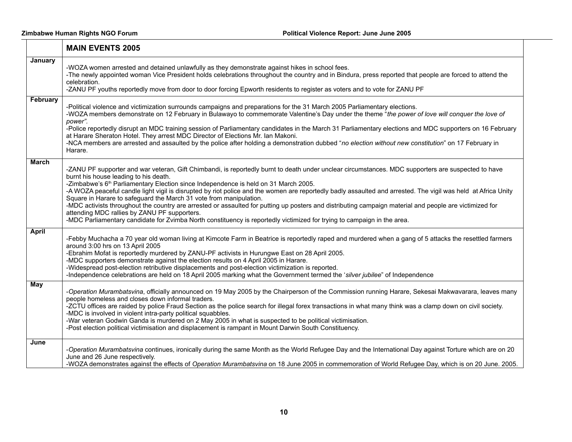|              | <b>MAIN EVENTS 2005</b>                                                                                                                                                                                                                                                                                                                                                                                                                                                                                                                                                                                                                                                                                                                                                                                                                                                     |
|--------------|-----------------------------------------------------------------------------------------------------------------------------------------------------------------------------------------------------------------------------------------------------------------------------------------------------------------------------------------------------------------------------------------------------------------------------------------------------------------------------------------------------------------------------------------------------------------------------------------------------------------------------------------------------------------------------------------------------------------------------------------------------------------------------------------------------------------------------------------------------------------------------|
| January      | -WOZA women arrested and detained unlawfully as they demonstrate against hikes in school fees.<br>-The newly appointed woman Vice President holds celebrations throughout the country and in Bindura, press reported that people are forced to attend the<br>celebration.<br>-ZANU PF youths reportedly move from door to door forcing Epworth residents to register as voters and to vote for ZANU PF                                                                                                                                                                                                                                                                                                                                                                                                                                                                      |
| February     | -Political violence and victimization surrounds campaigns and preparations for the 31 March 2005 Parliamentary elections.<br>-WOZA members demonstrate on 12 February in Bulawayo to commemorate Valentine's Day under the theme "the power of love will conquer the love of<br>power".<br>-Police reportedly disrupt an MDC training session of Parliamentary candidates in the March 31 Parliamentary elections and MDC supporters on 16 February<br>at Harare Sheraton Hotel. They arrest MDC Director of Elections Mr. Ian Makoni.<br>-NCA members are arrested and assaulted by the police after holding a demonstration dubbed "no election without new constitution" on 17 February in<br>Harare.                                                                                                                                                                    |
| <b>March</b> | -ZANU PF supporter and war veteran, Gift Chimbandi, is reportedly burnt to death under unclear circumstances. MDC supporters are suspected to have<br>burnt his house leading to his death.<br>-Zimbabwe's 6 <sup>th</sup> Parliamentary Election since Independence is held on 31 March 2005.<br>-A WOZA peaceful candle light vigil is disrupted by riot police and the women are reportedly badly assaulted and arrested. The vigil was held at Africa Unity<br>Square in Harare to safeguard the March 31 vote from manipulation.<br>-MDC activists throughout the country are arrested or assaulted for putting up posters and distributing campaign material and people are victimized for<br>attending MDC rallies by ZANU PF supporters.<br>-MDC Parliamentary candidate for Zvimba North constituency is reportedly victimized for trying to campaign in the area. |
| <b>April</b> | -Febby Muchacha a 70 year old woman living at Kimcote Farm in Beatrice is reportedly raped and murdered when a gang of 5 attacks the resettled farmers<br>around 3:00 hrs on 13 April 2005<br>-Ebrahim Mofat is reportedly murdered by ZANU-PF activists in Hurungwe East on 28 April 2005.<br>-MDC supporters demonstrate against the election results on 4 April 2005 in Harare.<br>-Widespread post-election retributive displacements and post-election victimization is reported.<br>-Independence celebrations are held on 18 April 2005 marking what the Government termed the 'silver jubilee" of Independence                                                                                                                                                                                                                                                      |
| <b>May</b>   | -Operation Murambatsvina, officially announced on 19 May 2005 by the Chairperson of the Commission running Harare, Sekesai Makwavarara, leaves many<br>people homeless and closes down informal traders.<br>-ZCTU offices are raided by police Fraud Section as the police search for illegal forex transactions in what many think was a clamp down on civil society.<br>-MDC is involved in violent intra-party political squabbles.<br>-War veteran Godwin Ganda is murdered on 2 May 2005 in what is suspected to be political victimisation.<br>-Post election political victimisation and displacement is rampant in Mount Darwin South Constituency.                                                                                                                                                                                                                 |
| June         | -Operation Murambatsvina continues, ironically during the same Month as the World Refugee Day and the International Day against Torture which are on 20<br>June and 26 June respectively.<br>-WOZA demonstrates against the effects of Operation Murambatsvina on 18 June 2005 in commemoration of World Refugee Day, which is on 20 June. 2005.                                                                                                                                                                                                                                                                                                                                                                                                                                                                                                                            |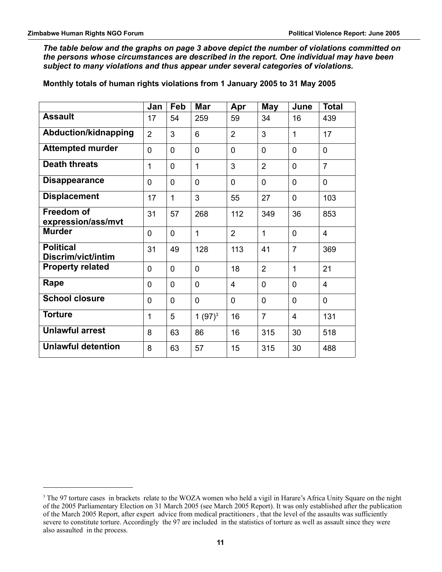*The table below and the graphs on page 3 above depict the number of violations committed on the persons whose circumstances are described in the report. One individual may have been subject to many violations and thus appear under several categories of violations.*

**Monthly totals of human rights violations from 1 January 2005 to 31 May 2005**

|                                         | Jan            | Feb            | <b>Mar</b>     | Apr            | <b>May</b>     | June           | <b>Total</b>   |
|-----------------------------------------|----------------|----------------|----------------|----------------|----------------|----------------|----------------|
| <b>Assault</b>                          | 17             | 54             | 259            | 59             | 34             | 16             | 439            |
| Abduction/kidnapping                    | $\overline{2}$ | 3              | 6              | $\overline{2}$ | 3              | 1              | 17             |
| <b>Attempted murder</b>                 | $\overline{0}$ | 0              | $\Omega$       | $\mathbf 0$    | 0              | 0              | $\overline{0}$ |
| <b>Death threats</b>                    | 1              | $\overline{0}$ | 1              | 3              | $\overline{2}$ | $\overline{0}$ | $\overline{7}$ |
| <b>Disappearance</b>                    | 0              | 0              | $\overline{0}$ | $\mathbf 0$    | 0              | 0              | $\mathbf 0$    |
| <b>Displacement</b>                     | 17             | 1              | 3              | 55             | 27             | 0              | 103            |
| <b>Freedom of</b><br>expression/ass/mvt | 31             | 57             | 268            | 112            | 349            | 36             | 853            |
| <b>Murder</b>                           | $\mathbf{0}$   | $\mathbf{0}$   | 1              | $\overline{2}$ | $\mathbf{1}$   | 0              | 4              |
| <b>Political</b><br>Discrim/vict/intim  | 31             | 49             | 128            | 113            | 41             | $\overline{7}$ | 369            |
| <b>Property related</b>                 | 0              | $\overline{0}$ | $\Omega$       | 18             | $\overline{2}$ | 1              | 21             |
| Rape                                    | 0              | $\overline{0}$ | $\mathbf{0}$   | $\overline{4}$ | 0              | 0              | $\overline{4}$ |
| <b>School closure</b>                   | $\overline{0}$ | $\overline{0}$ | $\Omega$       | $\mathbf 0$    | 0              | 0              | $\mathbf 0$    |
| <b>Torture</b>                          | 1              | 5              | 1 $(97)^3$     | 16             | $\overline{7}$ | 4              | 131            |
| <b>Unlawful arrest</b>                  | 8              | 63             | 86             | 16             | 315            | 30             | 518            |
| <b>Unlawful detention</b>               | 8              | 63             | 57             | 15             | 315            | 30             | 488            |

<span id="page-10-0"></span><sup>&</sup>lt;sup>3</sup> The 97 torture cases in brackets relate to the WOZA women who held a vigil in Harare's Africa Unity Square on the night of the 2005 Parliamentary Election on 31 March 2005 (see March 2005 Report). It was only established after the publication of the March 2005 Report, after expert advice from medical practitioners , that the level of the assaults was sufficiently severe to constitute torture. Accordingly the 97 are included in the statistics of torture as well as assault since they were also assaulted in the process.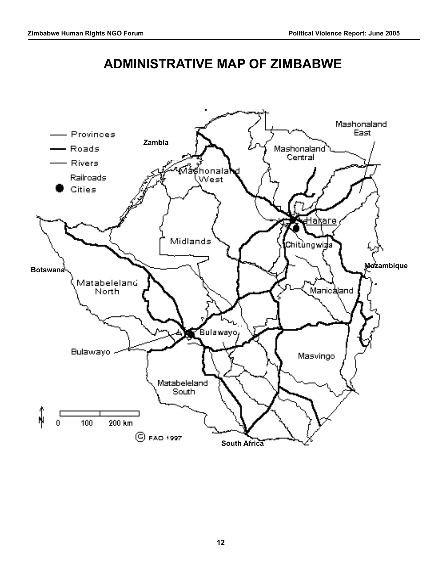# **ADMINISTRATIVE MAP OF ZIMBABWE**